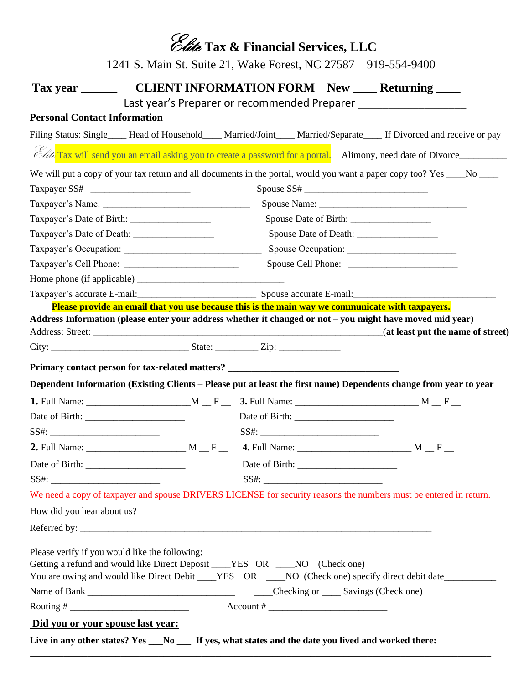|                                                                              |                                                                                                  | Clite Tax & Financial Services, LLC                          |                                                                                                                             |
|------------------------------------------------------------------------------|--------------------------------------------------------------------------------------------------|--------------------------------------------------------------|-----------------------------------------------------------------------------------------------------------------------------|
|                                                                              | 1241 S. Main St. Suite 21, Wake Forest, NC 27587 919-554-9400                                    |                                                              |                                                                                                                             |
| Tax year $\frac{1}{\sqrt{1-\frac{1}{2}}\cdot\frac{1}{\sqrt{1-\frac{1}{2}}}}$ |                                                                                                  |                                                              | <b>CLIENT INFORMATION FORM</b> New _____ Returning _____                                                                    |
|                                                                              |                                                                                                  |                                                              |                                                                                                                             |
| <b>Personal Contact Information</b>                                          |                                                                                                  |                                                              |                                                                                                                             |
|                                                                              |                                                                                                  |                                                              | Filing Status: Single____ Head of Household____ Married/Joint____ Married/Separate____ If Divorced and receive or pay       |
|                                                                              |                                                                                                  |                                                              | <i>Clite</i> Tax will send you an email asking you to create a password for a portal. Alimony, need date of Divorce________ |
|                                                                              |                                                                                                  |                                                              | We will put a copy of your tax return and all documents in the portal, would you want a paper copy too? Yes ____No ___      |
|                                                                              |                                                                                                  |                                                              |                                                                                                                             |
|                                                                              |                                                                                                  |                                                              |                                                                                                                             |
|                                                                              |                                                                                                  |                                                              |                                                                                                                             |
|                                                                              |                                                                                                  |                                                              |                                                                                                                             |
|                                                                              |                                                                                                  |                                                              |                                                                                                                             |
|                                                                              |                                                                                                  |                                                              |                                                                                                                             |
|                                                                              |                                                                                                  |                                                              |                                                                                                                             |
|                                                                              | Please provide an email that you use because this is the main way we communicate with taxpayers. |                                                              | Taxpayer's accurate E-mail:<br>Spouse accurate E-mail:                                                                      |
|                                                                              | Primary contact person for tax-related matters? _________________________________                |                                                              |                                                                                                                             |
|                                                                              |                                                                                                  |                                                              | Dependent Information (Existing Clients - Please put at least the first name) Dependents change from year to year           |
|                                                                              |                                                                                                  |                                                              |                                                                                                                             |
|                                                                              |                                                                                                  |                                                              |                                                                                                                             |
|                                                                              |                                                                                                  |                                                              |                                                                                                                             |
|                                                                              |                                                                                                  |                                                              |                                                                                                                             |
|                                                                              |                                                                                                  |                                                              |                                                                                                                             |
| SS#:                                                                         |                                                                                                  |                                                              |                                                                                                                             |
|                                                                              |                                                                                                  |                                                              | We need a copy of taxpayer and spouse DRIVERS LICENSE for security reasons the numbers must be entered in return.           |
|                                                                              |                                                                                                  |                                                              |                                                                                                                             |
|                                                                              |                                                                                                  |                                                              |                                                                                                                             |
| Please verify if you would like the following:                               | Getting a refund and would like Direct Deposit ____YES OR ____NO (Check one)                     |                                                              | You are owing and would like Direct Debit ____YES OR ____NO (Check one) specify direct debit date_________                  |
|                                                                              |                                                                                                  |                                                              |                                                                                                                             |
|                                                                              |                                                                                                  | $\text{Account } \#$                                         |                                                                                                                             |
| Did you or your spouse last year:                                            |                                                                                                  |                                                              |                                                                                                                             |
| Live in any other states? Yes __No __                                        |                                                                                                  | If yes, what states and the date you lived and worked there: |                                                                                                                             |

**\_\_\_\_\_\_\_\_\_\_\_\_\_\_\_\_\_\_\_\_\_\_\_\_\_\_\_\_\_\_\_\_\_\_\_\_\_\_\_\_\_\_\_\_\_\_\_\_\_\_\_\_\_\_\_\_\_\_\_\_\_\_\_\_\_\_\_\_\_\_\_\_\_\_\_\_\_\_\_\_\_\_\_\_\_\_\_\_\_\_\_\_\_\_\_\_\_**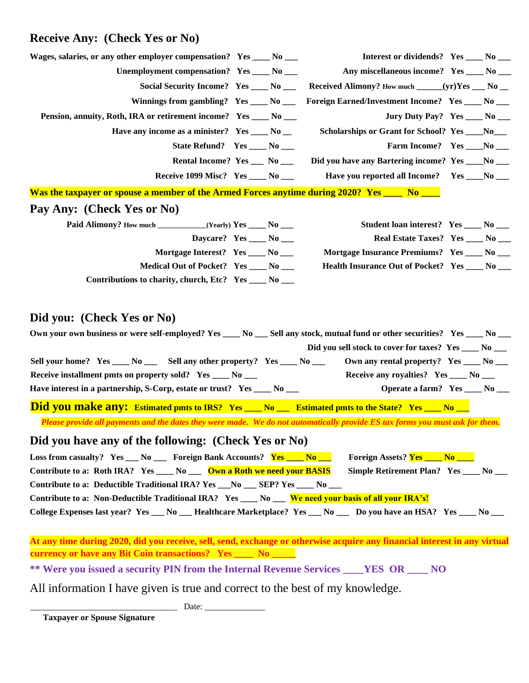## **Receive Any: (Check Yes or No)**

| Wages, salaries, or any other employer compensation? Yes _____ No ___                                                                                                                                                                                                                                                                                                                                                                                           |  | Interest or dividends? Yes _____ No ____                                                                                                                                              |  |
|-----------------------------------------------------------------------------------------------------------------------------------------------------------------------------------------------------------------------------------------------------------------------------------------------------------------------------------------------------------------------------------------------------------------------------------------------------------------|--|---------------------------------------------------------------------------------------------------------------------------------------------------------------------------------------|--|
| Unemployment compensation? Yes _____ No ____                                                                                                                                                                                                                                                                                                                                                                                                                    |  | Any miscellaneous income? Yes ____ No ___                                                                                                                                             |  |
| Social Security Income? Yes _____ No ____                                                                                                                                                                                                                                                                                                                                                                                                                       |  | Received Alimony? How much _____(yr)Yes ___ No __                                                                                                                                     |  |
| Winnings from gambling? $Yes_{\_\_\_\_} No_{\_\_\_}$                                                                                                                                                                                                                                                                                                                                                                                                            |  | Foreign Earned/Investment Income? Yes ____ No ___                                                                                                                                     |  |
| Pension, annuity, Roth, IRA or retirement income? Yes ____ No ___                                                                                                                                                                                                                                                                                                                                                                                               |  | Jury Duty Pay? Yes _____ No ____                                                                                                                                                      |  |
| Have any income as a minister? Yes _____ No __                                                                                                                                                                                                                                                                                                                                                                                                                  |  | Scholarships or Grant for School? Yes ____No___                                                                                                                                       |  |
| State Refund? Yes _____ No ____                                                                                                                                                                                                                                                                                                                                                                                                                                 |  | Farm Income? Yes ____No ___                                                                                                                                                           |  |
| Rental Income? Yes __ No __                                                                                                                                                                                                                                                                                                                                                                                                                                     |  | Did you have any Bartering income? Yes ____No ___                                                                                                                                     |  |
| Receive 1099 Misc? Yes ____ No ___                                                                                                                                                                                                                                                                                                                                                                                                                              |  | Have you reported all Income? Yes ____No ___                                                                                                                                          |  |
| Was the taxpayer or spouse a member of the Armed Forces anytime during 2020? Yes No No                                                                                                                                                                                                                                                                                                                                                                          |  |                                                                                                                                                                                       |  |
| Pay Any: (Check Yes or No)                                                                                                                                                                                                                                                                                                                                                                                                                                      |  |                                                                                                                                                                                       |  |
|                                                                                                                                                                                                                                                                                                                                                                                                                                                                 |  | Student loan interest? Yes ____ No ___                                                                                                                                                |  |
| Daycare? Yes ____ No ___                                                                                                                                                                                                                                                                                                                                                                                                                                        |  | Real Estate Taxes? Yes _____ No ____                                                                                                                                                  |  |
| Mortgage Interest? Yes _____ No ___                                                                                                                                                                                                                                                                                                                                                                                                                             |  | Mortgage Insurance Premiums? Yes ____ No ___                                                                                                                                          |  |
| Medical Out of Pocket? Yes ____ No ___                                                                                                                                                                                                                                                                                                                                                                                                                          |  | Health Insurance Out of Pocket? Yes _____ No ___                                                                                                                                      |  |
| Contributions to charity, church, Etc? Yes ____ No ___                                                                                                                                                                                                                                                                                                                                                                                                          |  |                                                                                                                                                                                       |  |
| Sell your home? Yes ____ No ______ Sell any other property? Yes ____ No ___<br>Receive installment pmts on property sold? Yes ____ No ___<br>Have interest in a partnership, S-Corp, estate or trust? Yes ____ No ___                                                                                                                                                                                                                                           |  | Did you sell stock to cover for taxes? Yes _____ No ____<br>Own any rental property? Yes _____ No ____<br>Receive any royalties? Yes _____ No ____<br>Operate a farm? Yes ____ No ___ |  |
| <b>Did you make any:</b> Estimated pmts to IRS? Yes ___ No ___ Estimated pmts to the State? Yes ___ No __                                                                                                                                                                                                                                                                                                                                                       |  |                                                                                                                                                                                       |  |
| Please provide all payments and the dates they were made. We do not automatically provide ES tax forms you must ask for them.                                                                                                                                                                                                                                                                                                                                   |  |                                                                                                                                                                                       |  |
| Did you have any of the following: (Check Yes or No)                                                                                                                                                                                                                                                                                                                                                                                                            |  |                                                                                                                                                                                       |  |
| Loss from casualty? Yes __ No __ Foreign Bank Accounts? Yes ___ No __<br>Contribute to a: Roth IRA? Yes ____ No ___ Own a Roth we need your BASIS<br>Contribute to a: Deductible Traditional IRA? Yes ___No ___ SEP? Yes ____ No ___<br>Contribute to a: Non-Deductible Traditional IRA? Yes ___ No ___ We need your basis of all your IRA's!<br>College Expenses last year? Yes __ No __ Healthcare Marketplace? Yes __ No __ Do you have an HSA? Yes __ No __ |  | Foreign Assets? Yes _____ No ____<br>Simple Retirement Plan? Yes _____ No ____                                                                                                        |  |
|                                                                                                                                                                                                                                                                                                                                                                                                                                                                 |  |                                                                                                                                                                                       |  |
| At any time during 2020, did you receive, sell, send, exchange or otherwise acquire any financial interest in any virtual<br>currency or have any Bit Coin transactions? Yes _____ No _____                                                                                                                                                                                                                                                                     |  |                                                                                                                                                                                       |  |
| ** Were you issued a security PIN from the Internal Revenue Services ____YES OR ____ NO                                                                                                                                                                                                                                                                                                                                                                         |  |                                                                                                                                                                                       |  |
| All information I have given is true and correct to the best of my knowledge.                                                                                                                                                                                                                                                                                                                                                                                   |  |                                                                                                                                                                                       |  |

\_\_\_\_\_\_\_\_\_\_\_\_\_\_\_\_\_\_\_\_\_\_\_\_\_\_\_\_\_\_\_\_\_\_ Date: \_\_\_\_\_\_\_\_\_\_\_\_\_\_

 **Taxpayer or Spouse Signature**